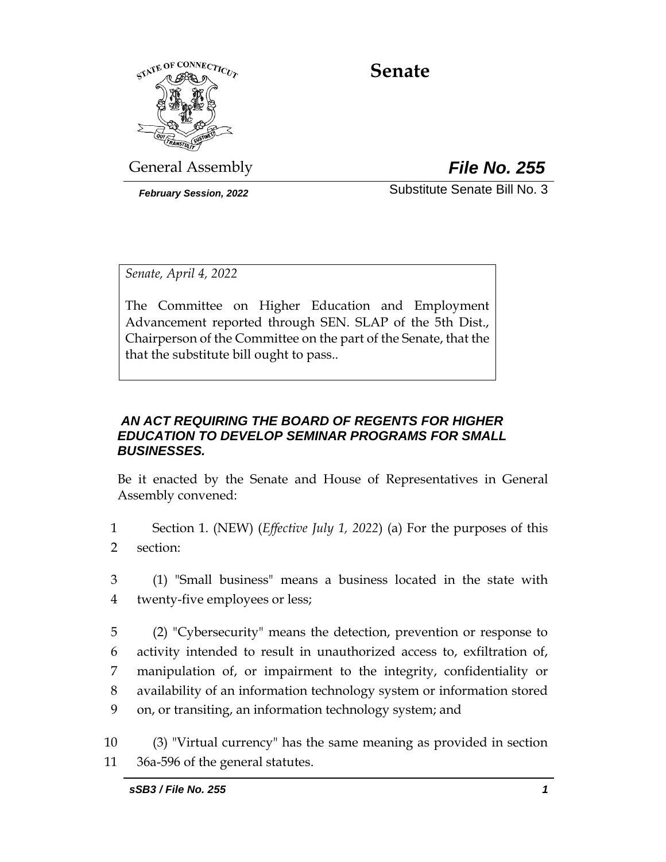

# **Senate**

General Assembly *File No. 255*

*February Session, 2022* Substitute Senate Bill No. 3

*Senate, April 4, 2022*

The Committee on Higher Education and Employment Advancement reported through SEN. SLAP of the 5th Dist., Chairperson of the Committee on the part of the Senate, that the that the substitute bill ought to pass..

# *AN ACT REQUIRING THE BOARD OF REGENTS FOR HIGHER EDUCATION TO DEVELOP SEMINAR PROGRAMS FOR SMALL BUSINESSES.*

Be it enacted by the Senate and House of Representatives in General Assembly convened:

- 1 Section 1. (NEW) (*Effective July 1, 2022*) (a) For the purposes of this 2 section:
- 3 (1) "Small business" means a business located in the state with 4 twenty-five employees or less;
- 5 (2) "Cybersecurity" means the detection, prevention or response to 6 activity intended to result in unauthorized access to, exfiltration of, 7 manipulation of, or impairment to the integrity, confidentiality or 8 availability of an information technology system or information stored 9 on, or transiting, an information technology system; and

10 (3) "Virtual currency" has the same meaning as provided in section 11 36a-596 of the general statutes.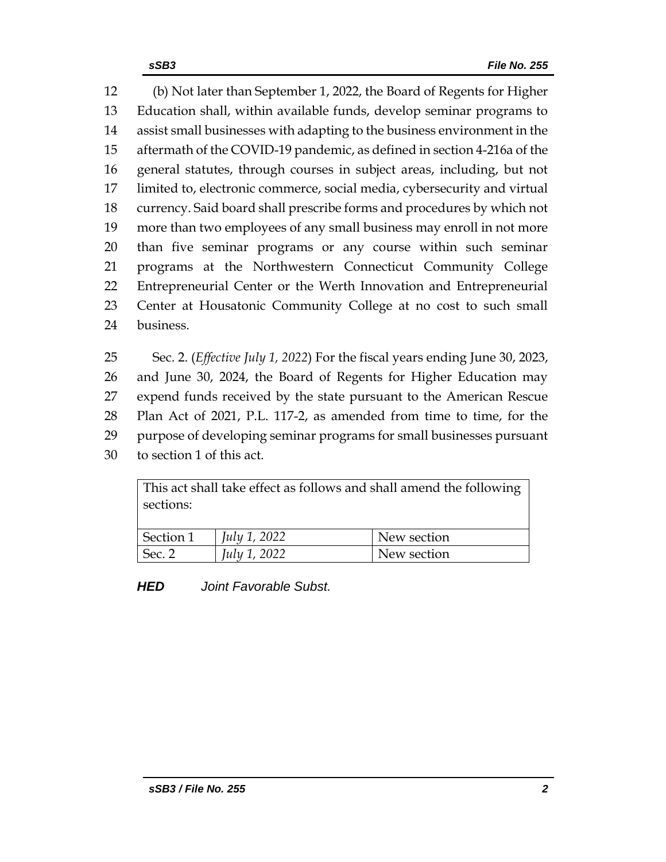(b) Not later than September 1, 2022, the Board of Regents for Higher Education shall, within available funds, develop seminar programs to assist small businesses with adapting to the business environment in the aftermath of the COVID-19 pandemic, as defined in section 4-216a of the general statutes, through courses in subject areas, including, but not limited to, electronic commerce, social media, cybersecurity and virtual currency. Said board shall prescribe forms and procedures by which not more than two employees of any small business may enroll in not more than five seminar programs or any course within such seminar programs at the Northwestern Connecticut Community College Entrepreneurial Center or the Werth Innovation and Entrepreneurial Center at Housatonic Community College at no cost to such small business.

 Sec. 2. (*Effective July 1, 2022*) For the fiscal years ending June 30, 2023, and June 30, 2024, the Board of Regents for Higher Education may expend funds received by the state pursuant to the American Rescue Plan Act of 2021, P.L. 117-2, as amended from time to time, for the purpose of developing seminar programs for small businesses pursuant to section 1 of this act.

This act shall take effect as follows and shall amend the following sections:

| Section 1      | July 1, 2022 | New section |
|----------------|--------------|-------------|
| $\vert$ Sec. 2 | July 1, 2022 | New section |

*HED Joint Favorable Subst.*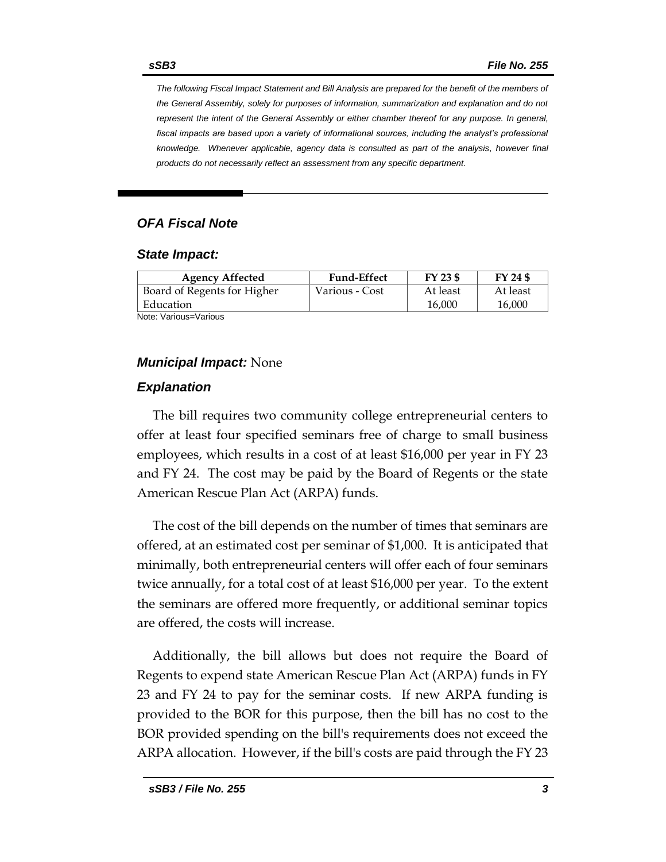*The following Fiscal Impact Statement and Bill Analysis are prepared for the benefit of the members of the General Assembly, solely for purposes of information, summarization and explanation and do not represent the intent of the General Assembly or either chamber thereof for any purpose. In general,*  fiscal impacts are based upon a variety of informational sources, including the analyst's professional *knowledge. Whenever applicable, agency data is consulted as part of the analysis, however final products do not necessarily reflect an assessment from any specific department.*

# *OFA Fiscal Note*

#### *State Impact:*

| <b>Agency Affected</b>      | <b>Fund-Effect</b> | FY 23 \$ | FY 24 \$ |
|-----------------------------|--------------------|----------|----------|
| Board of Regents for Higher | Various - Cost     | At least | At least |
| Education                   |                    | 16,000   | 16,000   |
| Note: Various=Various       |                    |          |          |

### *Municipal Impact:* None

### *Explanation*

The bill requires two community college entrepreneurial centers to offer at least four specified seminars free of charge to small business employees, which results in a cost of at least \$16,000 per year in FY 23 and FY 24. The cost may be paid by the Board of Regents or the state American Rescue Plan Act (ARPA) funds.

The cost of the bill depends on the number of times that seminars are offered, at an estimated cost per seminar of \$1,000. It is anticipated that minimally, both entrepreneurial centers will offer each of four seminars twice annually, for a total cost of at least \$16,000 per year. To the extent the seminars are offered more frequently, or additional seminar topics are offered, the costs will increase.

Additionally, the bill allows but does not require the Board of Regents to expend state American Rescue Plan Act (ARPA) funds in FY 23 and FY 24 to pay for the seminar costs. If new ARPA funding is provided to the BOR for this purpose, then the bill has no cost to the BOR provided spending on the bill's requirements does not exceed the ARPA allocation. However, if the bill's costs are paid through the FY 23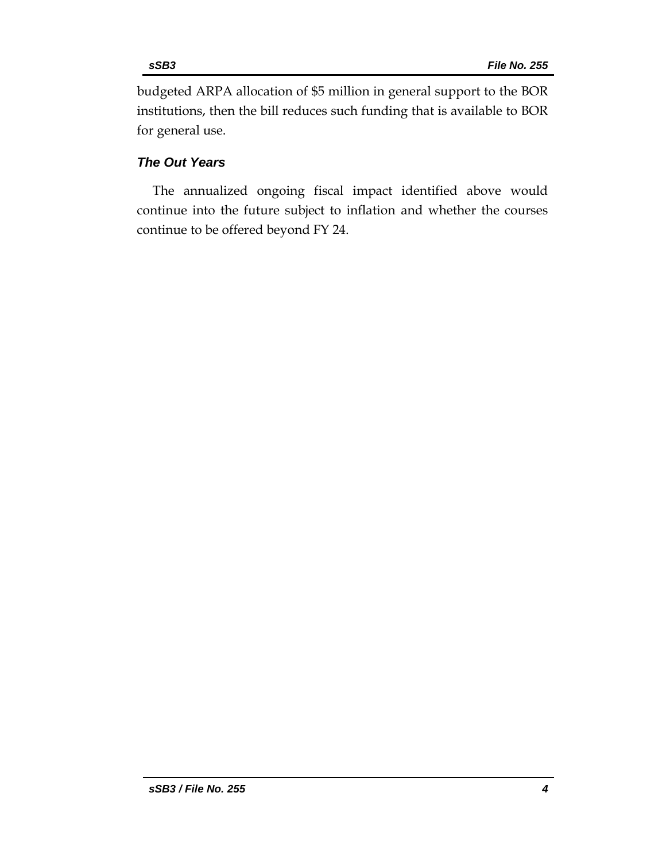budgeted ARPA allocation of \$5 million in general support to the BOR institutions, then the bill reduces such funding that is available to BOR for general use.

### *The Out Years*

The annualized ongoing fiscal impact identified above would continue into the future subject to inflation and whether the courses continue to be offered beyond FY 24.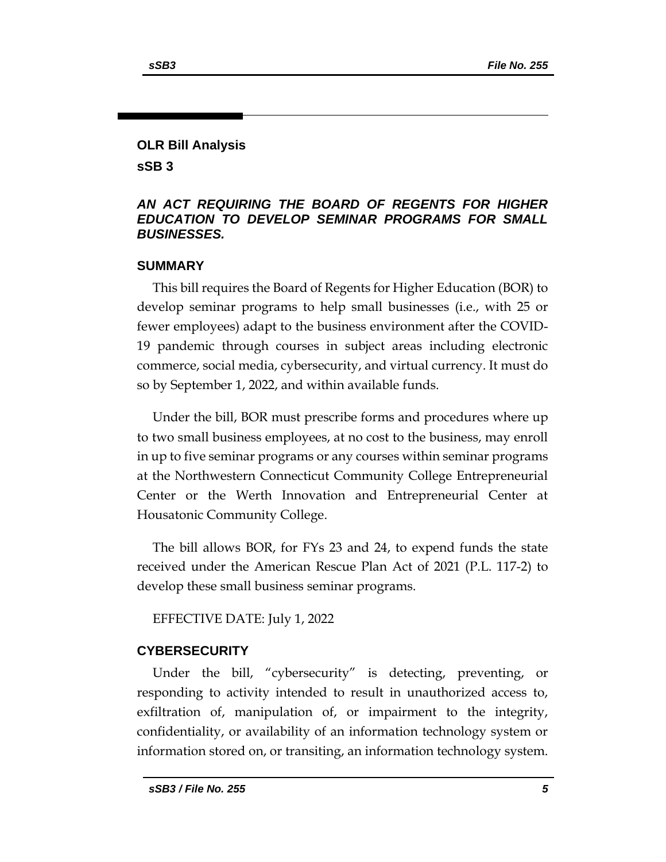# **OLR Bill Analysis**

**sSB 3**

### *AN ACT REQUIRING THE BOARD OF REGENTS FOR HIGHER EDUCATION TO DEVELOP SEMINAR PROGRAMS FOR SMALL BUSINESSES.*

### **SUMMARY**

This bill requires the Board of Regents for Higher Education (BOR) to develop seminar programs to help small businesses (i.e., with 25 or fewer employees) adapt to the business environment after the COVID-19 pandemic through courses in subject areas including electronic commerce, social media, cybersecurity, and virtual currency. It must do so by September 1, 2022, and within available funds.

Under the bill, BOR must prescribe forms and procedures where up to two small business employees, at no cost to the business, may enroll in up to five seminar programs or any courses within seminar programs at the Northwestern Connecticut Community College Entrepreneurial Center or the Werth Innovation and Entrepreneurial Center at Housatonic Community College.

The bill allows BOR, for FYs 23 and 24, to expend funds the state received under the American Rescue Plan Act of 2021 (P.L. 117-2) to develop these small business seminar programs.

EFFECTIVE DATE: July 1, 2022

# **CYBERSECURITY**

Under the bill, "cybersecurity" is detecting, preventing, or responding to activity intended to result in unauthorized access to, exfiltration of, manipulation of, or impairment to the integrity, confidentiality, or availability of an information technology system or information stored on, or transiting, an information technology system.